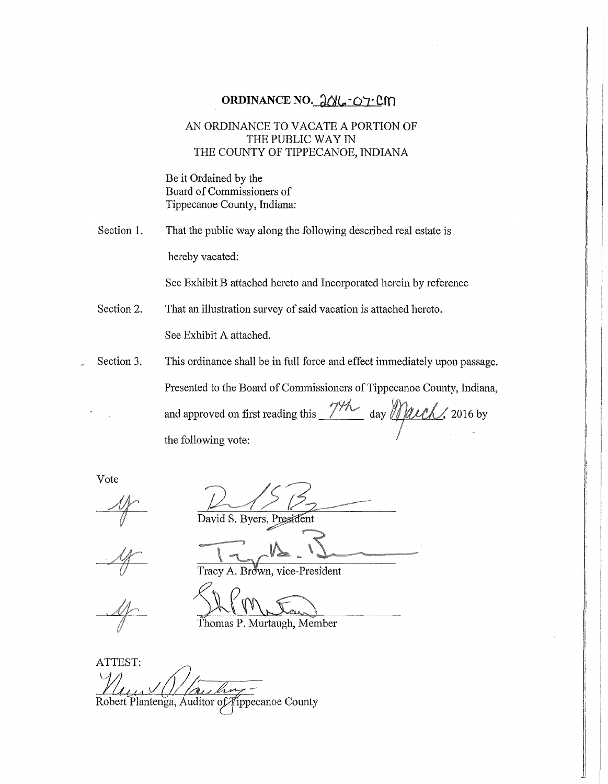# ORDINANCE NO. 2016-07-CM

# AN ORDINANCE TO VACATE A PORTION OF THE PUBLIC WAY IN THE COUNTY OF TIPPECANOE, INDIANA

Be it Ordained by the Board of Commissioners of Tippecanoe County, Indiana:

Section 1. That the public way along the following described real estate is hereby vacated:

See Exhibit B attached hereto and Incorporated herein by reference

Section 2. That an illustration survey of said vacation is attached hereto.

See Exhibit A attached.

Section 3. This ordinance shall be in full force and effect immediately upon passage.

Presented to the Board of Commissioners of Tippecanoe County, Indiana,

and approved on first reading this  $\frac{74}{4}$  day Mach, 2016 by the following vote:

Vote

David S. Byers, President

Brown, vice-President

 $\frac{\int\!\!\!\!\int\!\!\!\!\int\!\!\!\!\int\!\!\!\!\int\!\!\!\!\int\!\!\!\!\int\!\!\!\!\int\!\!\!\!\int\!\!\!\!\int\!\!\!\!\int\!\!\!\!\int\!\!\!\!\int\!\!\!\!\int\!\!\!\!\int\!\!\!\!\int\!\!\!\!\int\!\!\!\!\int\!\!\!\!\int\!\!\!\!\int\!\!\!\!\int\!\!\!\!\int\!\!\!\!\int\!\!\!\int\!\!\!\!\int\!\!\!\int\!\!\!\!\int\!\!\!\!\int\!\!\!\!\int\!\!\!\!\int\!\!\!\!\int\!\!\!\int\!\!\!\int\!\!\!\int\!\!\!\int\!\!\!\!\int\!\!\!\int\!\!\!\int\!\$ Thomas P. Murtaugh, Member

ATTEST: Robert Plantenga, Auditor of Tippecanoe County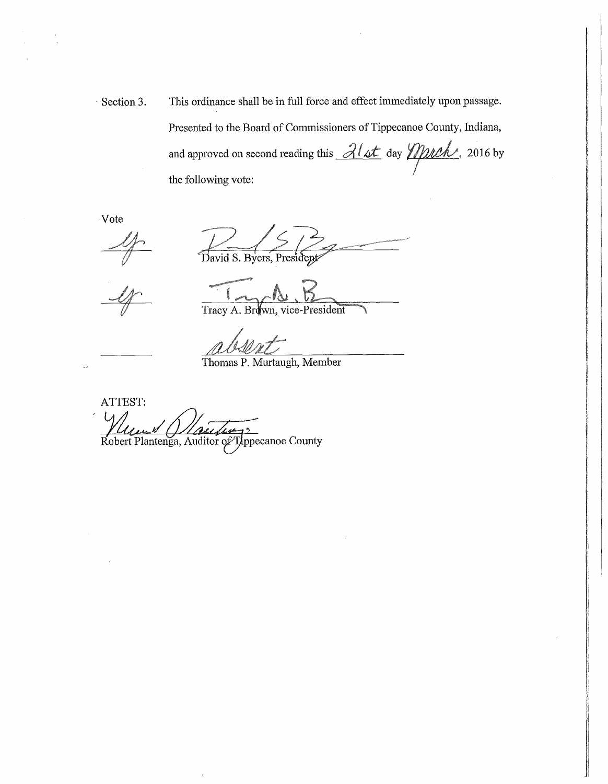Section 3. This ordinance shall be in full force and effect immediately upon passage. Presented to the Board of Commissioners of Tippecanoe County, Indiana, and approved on second reading this  $\partial/\partial t$  day  $\partial \partial/\partial x$ , 2016 by the following vote:

Vote

David S. Byers, President

Tracy A. Brown, vice-President

Thomas P. Murtaugh, Member

ATTEST: Robert Plantenga, Auditor of Typpecanoe County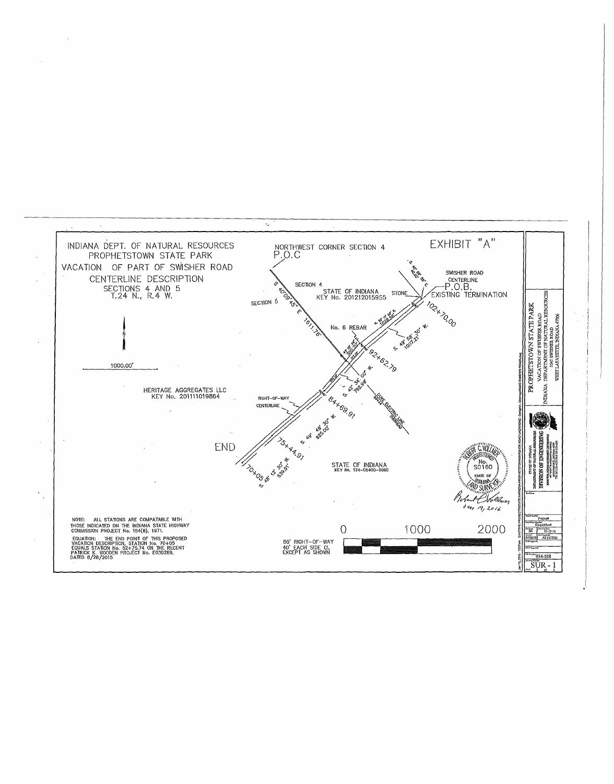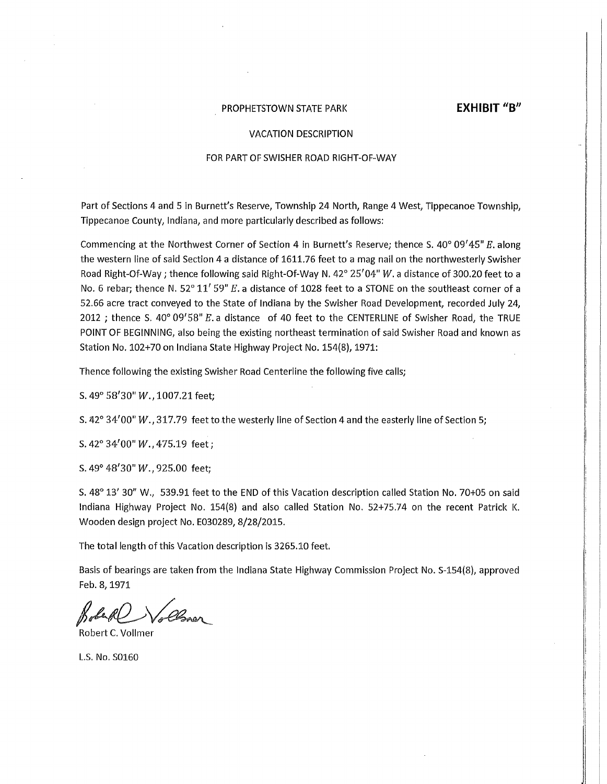# PROPHETSTOWN STATE PARK **EXHIBIT "B"**

#### VACATION DESCRIPTION

#### FOR PART OF SWISHER ROAD RIGHT-OF-WAY

Part of Sections 4 and 5 in Burnett's Reserve, Township 24 North, Range 4 West, Tippecanoe Township, Tippecanoe County, Indiana, and more particularly described as follows:

Commencing at the Northwest Corner of Section 4 in Burnett's Reserve; thence S.  $40^{\circ}$  09' $45^{\circ}$  E. along the western line of said Section 4 a distance of 1611.76 feet to a mag nail on the northwesterly Swisher Road Right-Of-Way; thence following said Right-Of-Way N. 42° 25'04" *W.* a distance of 300.20 feet to a No. 6 rebar; thence N. 52° 11' 59" E. a distance of 1028 feet to a STONE on the southeast corner of a 52.66 acre tract conveyed to the State of Indiana by the Swisher Road Development, recorded July 24, 2012 ; thence S.  $40^{\circ}$  09'58" E. a distance of 40 feet to the CENTERLINE of Swisher Road, the TRUE POINT OF BEGINNING, also being the existing northeast termination of said Swisher Road and known as Station No. 102+70 on Indiana State Highway Project No. 154{8), 1971:

Thence following the existing Swisher Road Centerline the following five calls;

s. 49° 58'30" *w.,* 1007.21 feet;

S. 42° 34'00" W., 317.79 feet to the westerly line of Section 4 and the easterly line of Section 5;

S.42°34'00"W.,475.19 feet;

s. 49° 48'30" W., 925.00 feet;

S. 48° 13' 30" W., 539.91 feet to the END of this Vacation description called Station No. 70+05 on said Indiana Highway Project No. 154(8) and also called Station No. 52+75.74 on the recent Patrick K. Wooden design project No. E030289, 8/28/2015.

The total length of this Vacation description is 3265.10 feet.

Basis of bearings are taken from the Indiana State Highway Commission Project No. S-154(8), approved Feb.8,1971

Bobert C. Vollmer

L.S. No. 50160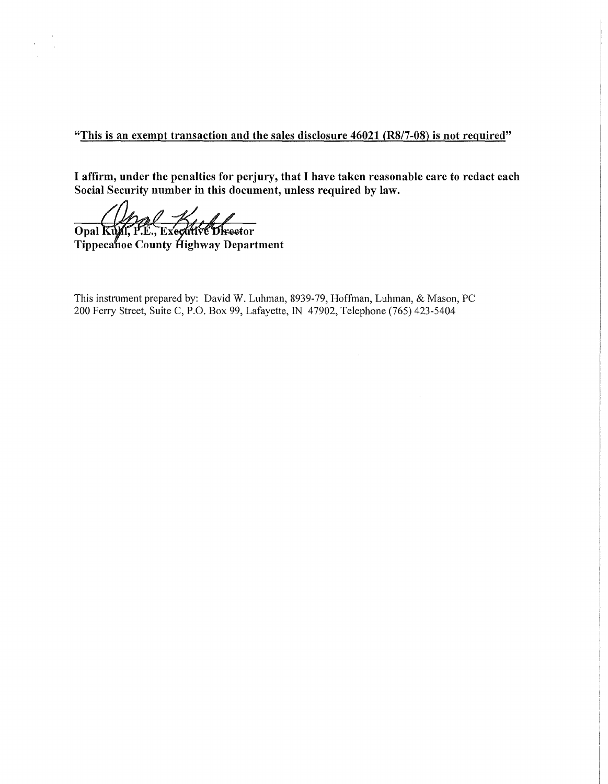"This is an exempt transaction and the sales disclosure 46021 (RS/7-08) is not required"

I affirm, under the penalties for perjury, that I have taken reasonable care to redact each Social Security number in this document, unless required by law.

Opal Kung P.E., Executive Director

Tippecanoe County Highway Department

This instrument prepared by: David W. Luhman, 8939-79, Hoffman, Luhman, & Mason, PC 200 Ferry Street, Suite C, P.O. Box 99, Lafayette, IN 47902, Telephone (765) 423-5404

 $\bar{u}$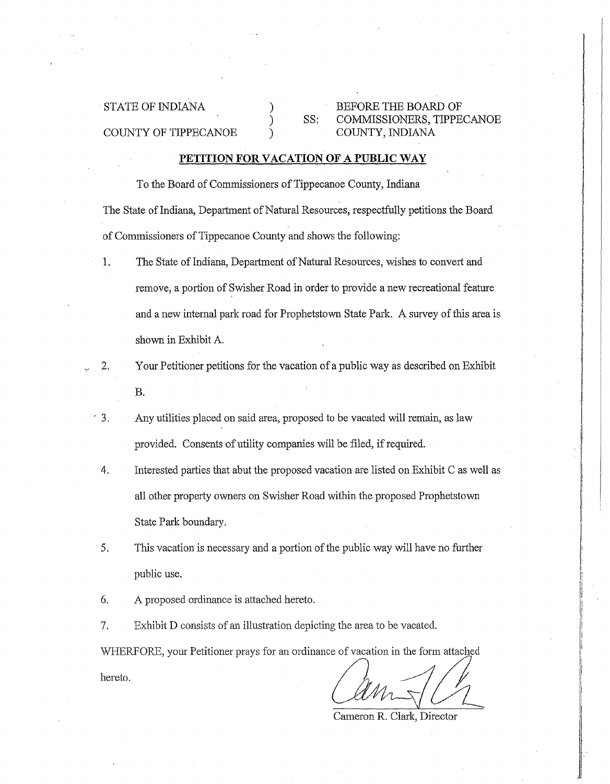COUNTY OF TIPPECANOE

STATE OF INDIANA  $\qquad \qquad$  BEFORE THE BOARD OF SS: COMMISSIONERS, TIPPECANOE COUNTY, INDIANA

# **PETITION FOR VACATION OF A PUBLIC WAY**

) ) )

To the Board of Commissioners of Tippecanoe County, Indiana The State of Indiana, Department of Natural Resources, respectfully petitions the Board of Commissioners of Tippecanoe County and shows the following:

- 1. The State of Indiana, Department of Natural Resources, wishes to convert and remove, a portion of Swisher Road in order to provide a new recreational feature and a new internal park road for Prophetstown State Park. A survey of this area is shown in Exhibit A.
- 2. Your Petitioner petitions for the vacation of a public way as described on Exhibit B.
- ' 3. Any utilities placed on said area, proposed to be vacated will remain, as law provided. Consents of utility companies will be filed, if required.
	- 4. Interested parties that abut the proposed vacation are listed on Exhibit C as well as all other property owners on Swisher Road within the proposed Prophetstown State Park boundary.
	- 5. This vacation is necessary and a portion of the public way will have no further public use.
	- 6. A proposed ordinance is attached hereto.
	- 7. Exhibit D consists of an illustration depicting the area to be vacated.

WHERFORE, your Petitioner prays for an ordinance of vacation in the form attached hereto.

Cameron R. Clark, Director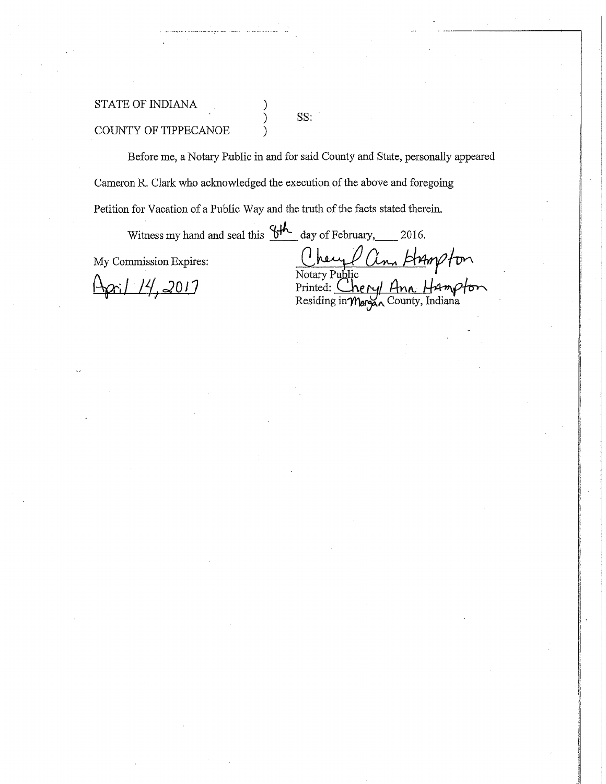# STATE OF INDIANA

SS:

COUNTY OF TIPPECANOE

Before me, a Notary Public in and for said County and State, personally appeared Cameron R. Clark who acknowledged the execution of the above and foregoing Petition for Vacation of a Public Way and the truth of the facts stated therein.

Witness my hand and seal this  $\frac{64}{10}$  day of February, 2016. My Commission Expires: Chey Panto and Sear and Sear and Sear and Sear and Search Commission Expires:  $\frac{1}{2}$  /  $\frac{1}{4}$ , 2017 Printed: Cheryl Ann Hamp

Residing in  $\mathcal{M}_{\text{or}}$  County, Indiana

. ·-··---------\_,

, and the same of the lines.<br>The same of the same of the same of the same of the same of the same of the same of the same of the same of th l<br>Litteratur **I**<br>I

je <u>na postala na presto presto del c</u><br>1940 de decembro de la carda de la carda de la carda de la carda de la carda de la carda de la carda de la car<br>1940 de decembro de la carda de la carda de la carda de la carda de la c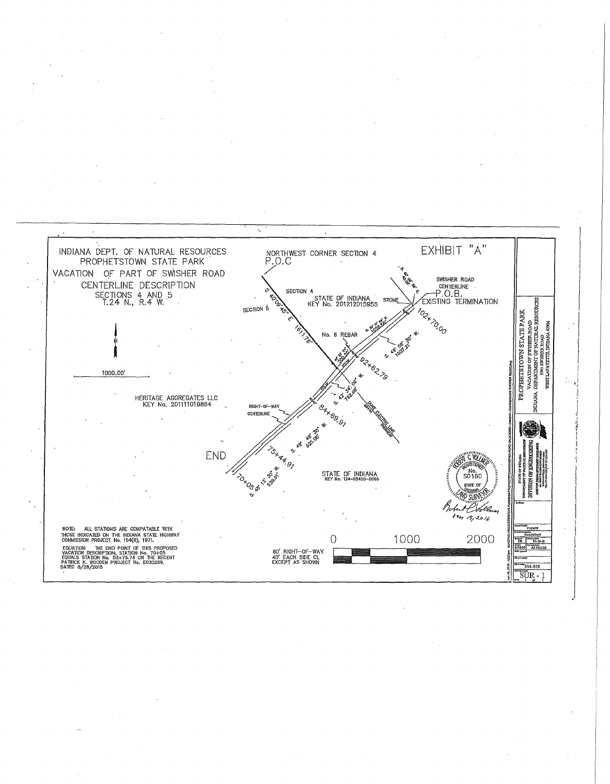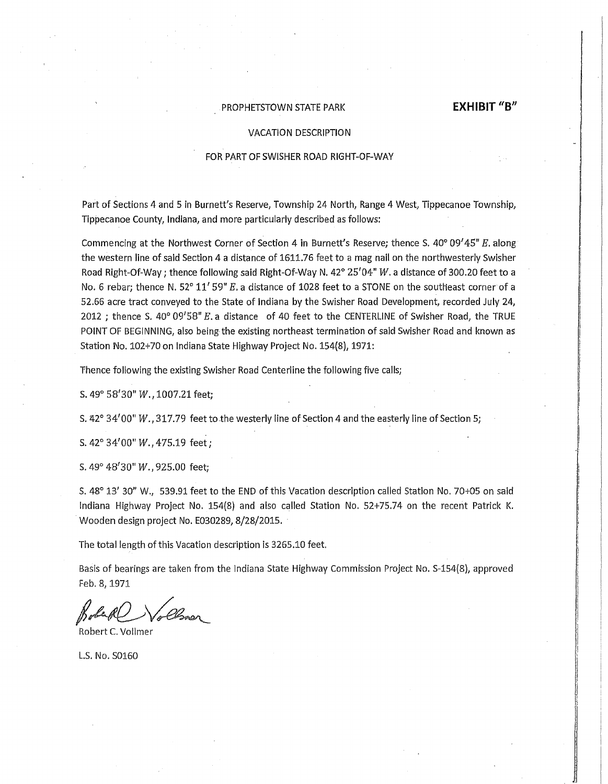## PROPHETSTOWN STATE PARK **EXHIBIT "B"**

#### VACATION DESCRIPTION

### FOR PART OF SWISHER ROAD RIGHT-OF-WAY

Part of Sections 4 and 5 in Burnett's Reserve, Township 24 North, Range 4 West, Tippecanoe Township, Tippecanoe County, Indiana, and more particularly described as follows:

Commencing at the Northwest Corner of Section 4 in Burnett's Reserve; thence S. 40° 09' 45" *E.* along the western line of said Section 4 a distance of 1611.76 feet to a mag nail on the northwesterly Swisher Road Right-Of-Way; thence following said Right-Of-Way N. 42° 25'04" *W.* a distance of 300.20 feet to a No. 6 rebar; thence N, 52° 11' 59" E, a distance of 1028 feet to a STONE on the southeast corner of a 52.66 acre tract conveyed to the State of Indiana by the Swisher Road Development, recorded July 24, 2012 ; thence S. 40° 09'58"  $E$ . a distance of 40 feet to the CENTERLINE of Swisher Road, the TRUE POINT OF BEGINNING, also being the existing northeast termination of said Swisher Road and known as Station No. 102+70 on Indiana State Highway Project No. 154(8), 1971:

Thence following the existing Swisher Road Centerline the following five calls;

s. 49° 58'30" *w.,* 1007.21 feet;

S. 42° 34 $^{\prime}$ 00"  $W.$  , 317.79 <code>feet</code> to the westerly line of Section 4 and the easterly line of Section 5;

S.42°34'00"W.,475.19 feet;

s. 49° 48<sup>1</sup> 30" *w.,* 925.00 feet;

S. 48° 13' 30" W., 539.91 feet to the END of this Vacation description called Station No. 70+05 on said Indiana Highway Project No. 154(8) and also called Station No. 52+75.74 on the recent Patrick K. Wooden design project No. E030289, 8/28/2015.

The total length of this Vacation description is 3265.10 feet.

Basis of bearings are taken from the Indiana State Highway Commission Project No. S-154(8), approved Feb.8,1971

.<br>Demon

Robert C. Vollmer

LS. No. 50160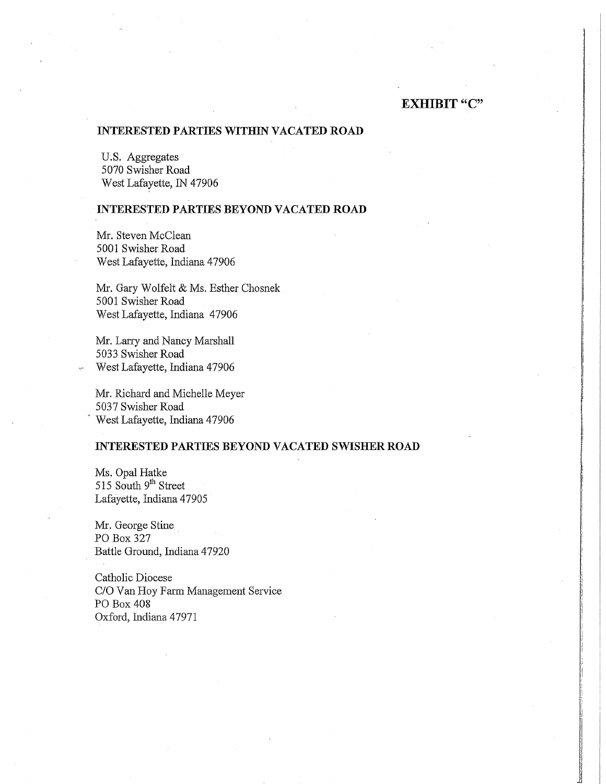# **EXHIBIT "C"**

# **INTERESTED PARTIES WITHIN VACATED ROAD**

U.S. Aggregates 5070 Swisher Road West Lafayette, IN 47906

# **INTERESTED PARTIES BEYOND VACATED ROAD**

Mr. Steven McClean 5001 Swisher Road West Lafayette, Indiana 47906

Mr. Gary Wolfelt & Ms. Esther Chosnek 5001 Swisher Road West Lafayette, Indiana 47906

Mr. Larry and Nancy Marshall 5033 Swisher Road West Lafayette, Indiana 47906

Mr. Richard and Michelle Meyer 5037 Swisher Road West Lafayette, Indiana 47906

## **INTERESTED PARTIES BEYOND VACATED SWISHER ROAD**

Ms. Opal Hatke 515 South 9<sup>th</sup> Street Lafayette, Indiana 47905

Mr. George Stine PO Box 327 Battle Ground, Indiana 47920

Catholic Diocese C/O Van Hoy Farm Management Service PO Box 408 Oxford, Indiana 47971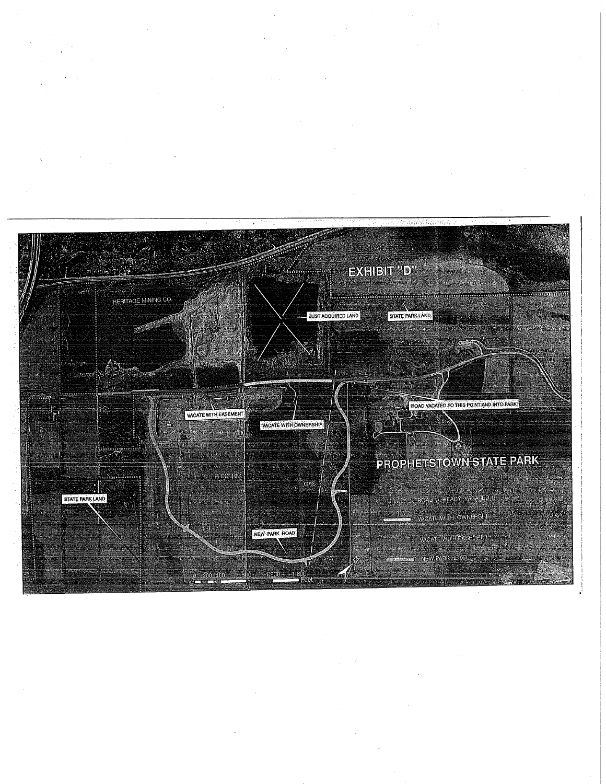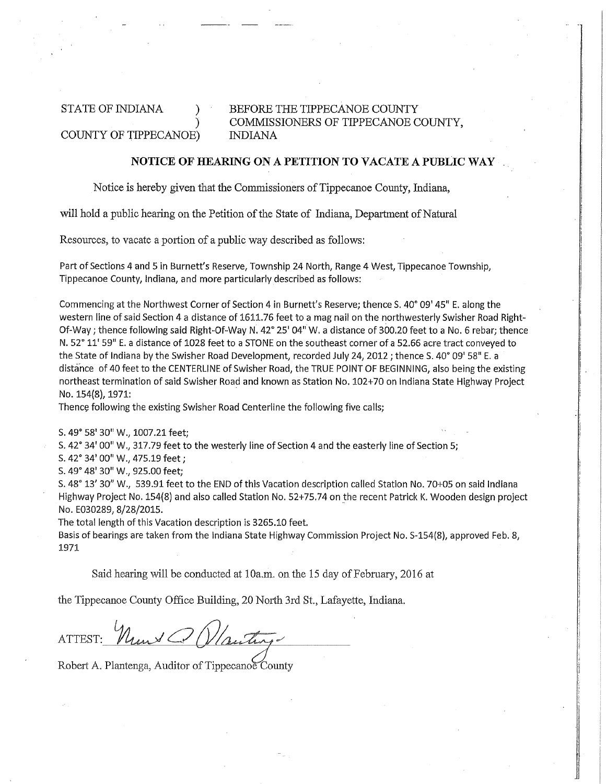#### STATE OF INDIANA ) COUNTY OF TIPPECANOE) BEFORE THE TIPPECANOE COUNTY COMMISSIONERS OF TIPPECANOE COUNTY, INDIANA

# **NOTICE OF HEARING ON A PETITION TO VACATE A PUBLIC WAY**

Notice is hereby given that the Commissioners of Tippecanoe County, Indiana,

will hold a public hearing on the Petition of the State of Indiana, Department of Natural

Resources, to vacate a portion of a public way described as follows:

Part of Sections 4 and 5 in Burnett's Reserve, Township 24 North, Range 4 West, Tippecanoe Township, Tippecanoe County, Indiana, and more particularly described as follows:

Commencing at the Northwest Corner of Section 4 in Burnett's Reserve; thence S. 40° 09' 45" E. along the western line of said Section 4 a distance of 1611.76 feet to a mag nail on the northwesterly Swisher Road Right-Of-Way; thence following said Right-Of-Way N. 42° 25' 04" W. a distance of 300.20 feet to a No. 6 rebar; thence N. 52° 11' 59" E. a distance of 1028 feet to a STONE on the southeast corner of a 52.66 acre tract conveyed to the State of Indiana by the Swisher Road Development, recorded July 24, 2012 ; thence S. 40° 09' 58" E. a distance of 40 feet to the CENTERLINE of Swisher Road, the TRUE POINT OF BEGINNING, also being the existing northeast termination of said Swisher Road and known as Station No. 102+70 on Indiana State Highway Project No. 154(8), 1971:

Thence following the existing Swisher Road Centerline the following five calls;

S. 49° 58' 30" W., 1007.21 feet;

S. 42° 34' 00" W., 317.79 feet to the westerly line of Section 4 and the easterly line of Section 5;

S. 42° 34' 00" W., 475.19 feet;

S. 49° 48' 30" W., 925.00 feet;

S. 48° 13' 30" W., 539.91 feet to the END of this Vacation description called Station No. 70+05 on said Indiana Highway Project No. 154(8) and also called Station No. 52+75.74 on the recent Patrick K. Wooden design project No. E030289, 8/28/2015.

The total length of this Vacation description is 3265.10 feet.

Basis of bearings are taken from the Indiana State Highway Commission Project No. S-154(8), approved Feb. 8, 1971

Said hearing will be conducted at lOa.m. on the 15 day of February, 2016 at

the Tippecanoe County Office Building, 20 North 3rd St., Lafayette, Indiana.

ATTEST:

Robert A. Plantenga, Auditor of Tippecanoe County